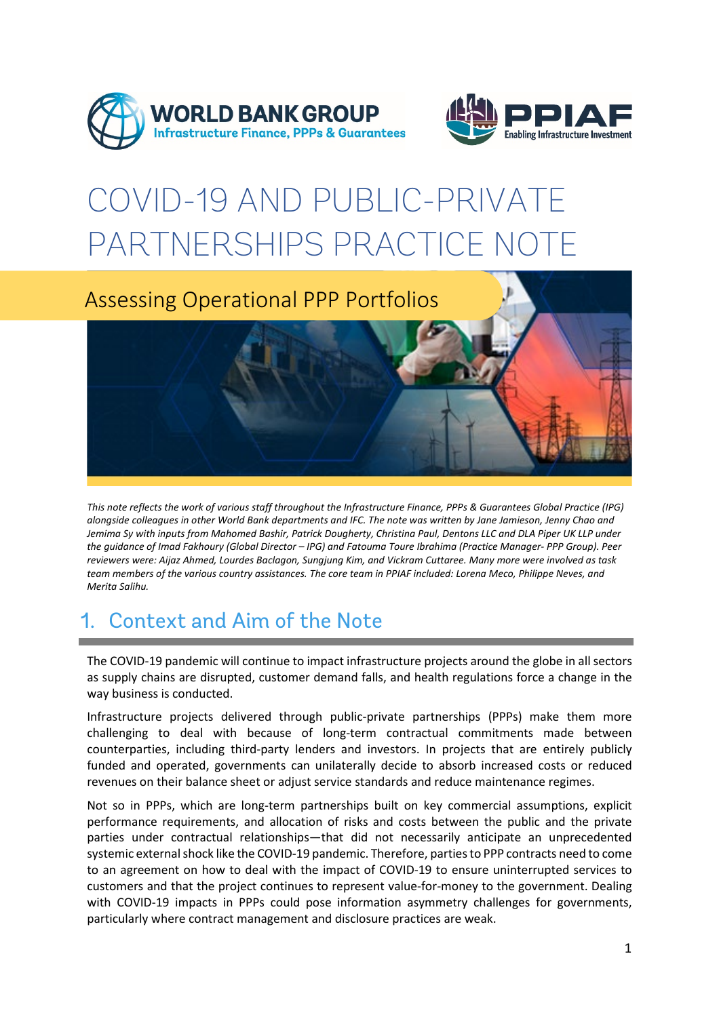



# COVID-19 AND PUBLIC-PRIVATE PARTNERSHIPS PRACTICE NOTE



*This note reflects the work of various staff throughout the Infrastructure Finance, PPPs & Guarantees Global Practice (IPG) alongside colleagues in other World Bank departments and IFC. The note was written by Jane Jamieson, Jenny Chao and Jemima Sy with inputs from Mahomed Bashir, Patrick Dougherty, Christina Paul, Dentons LLC and DLA Piper UK LLP under the guidance of Imad Fakhoury (Global Director – IPG) and Fatouma Toure Ibrahima (Practice Manager- PPP Group). Peer reviewers were: Aijaz Ahmed, Lourdes Baclagon, Sungjung Kim, and Vickram Cuttaree. Many more were involved as task team members of the various country assistances. The core team in PPIAF included: Lorena Meco, Philippe Neves, and Merita Salihu.*

# 1. Context and Aim of the Note

The COVID-19 pandemic will continue to impact infrastructure projects around the globe in all sectors as supply chains are disrupted, customer demand falls, and health regulations force a change in the way business is conducted.

Infrastructure projects delivered through public-private partnerships (PPPs) make them more challenging to deal with because of long-term contractual commitments made between counterparties, including third-party lenders and investors. In projects that are entirely publicly funded and operated, governments can unilaterally decide to absorb increased costs or reduced revenues on their balance sheet or adjust service standards and reduce maintenance regimes.

Not so in PPPs, which are long-term partnerships built on key commercial assumptions, explicit performance requirements, and allocation of risks and costs between the public and the private parties under contractual relationships—that did not necessarily anticipate an unprecedented systemic external shock like the COVID-19 pandemic. Therefore, parties to PPP contracts need to come to an agreement on how to deal with the impact of COVID-19 to ensure uninterrupted services to customers and that the project continues to represent value-for-money to the government. Dealing with COVID-19 impacts in PPPs could pose information asymmetry challenges for governments, particularly where contract management and disclosure practices are weak.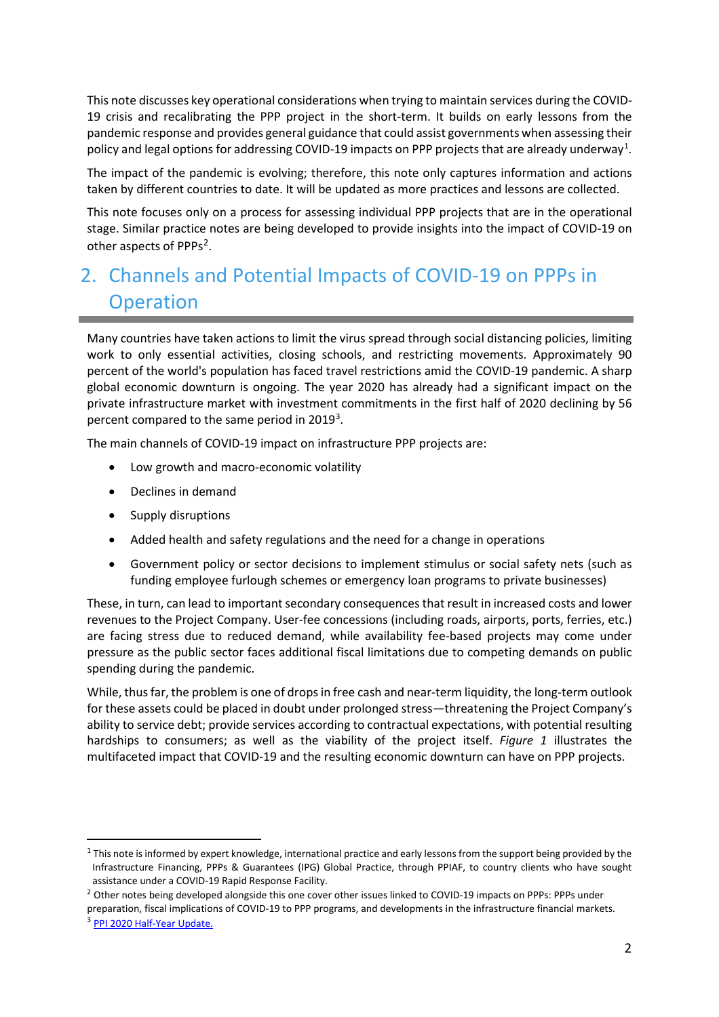This note discusses key operational considerations when trying to maintain services during the COVID-19 crisis and recalibrating the PPP project in the short-term. It builds on early lessons from the pandemic response and provides general guidance that could assist governments when assessing their policy and legal options for addressing COVID-[1](#page-1-0)9 impacts on PPP projects that are already underway $^1$ .

The impact of the pandemic is evolving; therefore, this note only captures information and actions taken by different countries to date. It will be updated as more practices and lessons are collected.

This note focuses only on a process for assessing individual PPP projects that are in the operational stage. Similar practice notes are being developed to provide insights into the impact of COVID-19 on other aspects of PPPs<sup>2</sup>.

### 2. Channels and Potential Impacts of COVID-19 on PPPs in **Operation**

Many countries have taken actions to limit the virus spread through social distancing policies, limiting work to only essential activities, closing schools, and restricting movements. Approximately 90 percent of the world's population has faced travel restrictions amid the COVID-19 pandemic. A sharp global economic downturn is ongoing. The year 2020 has already had a significant impact on the private infrastructure market with investment commitments in the first half of 2020 declining by 56 percent compared to the same period in 2019<sup>[3](#page-1-2)</sup>.

The main channels of COVID-19 impact on infrastructure PPP projects are:

- Low growth and macro-economic volatility
- Declines in demand
- Supply disruptions
- Added health and safety regulations and the need for a change in operations
- Government policy or sector decisions to implement stimulus or social safety nets (such as funding employee furlough schemes or emergency loan programs to private businesses)

These, in turn, can lead to important secondary consequences that result in increased costs and lower revenues to the Project Company. User-fee concessions (including roads, airports, ports, ferries, etc.) are facing stress due to reduced demand, while availability fee-based projects may come under pressure as the public sector faces additional fiscal limitations due to competing demands on public spending during the pandemic.

While, thus far, the problem is one of drops in free cash and near-term liquidity, the long-term outlook for these assets could be placed in doubt under prolonged stress—threatening the Project Company's ability to service debt; provide services according to contractual expectations, with potential resulting hardships to consumers; as well as the viability of the project itself. *Figure 1* illustrates the multifaceted impact that COVID-19 and the resulting economic downturn can have on PPP projects.

<span id="page-1-0"></span> $1$  This note is informed by expert knowledge, international practice and early lessons from the support being provided by the Infrastructure Financing, PPPs & Guarantees (IPG) Global Practice, through PPIAF, to country clients who have sought assistance under a COVID-19 Rapid Response Facility.

<span id="page-1-2"></span><span id="page-1-1"></span><sup>&</sup>lt;sup>2</sup> Other notes being developed alongside this one cover other issues linked to COVID-19 impacts on PPPs: PPPs under preparation, fiscal implications of COVID-19 to PPP programs, and developments in the infrastructure financial markets.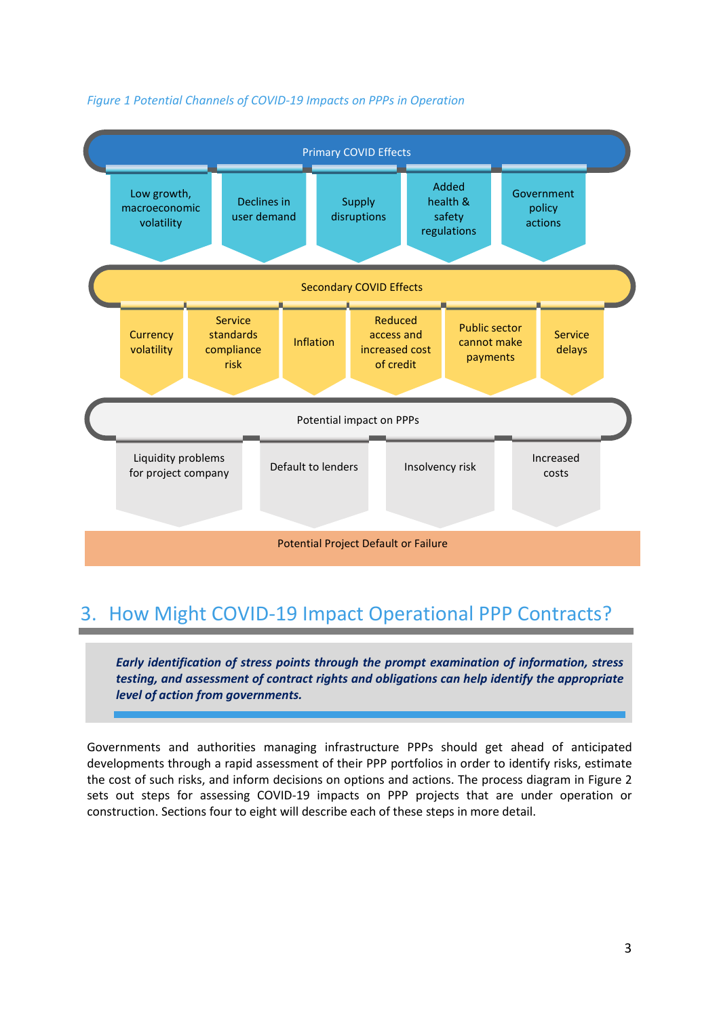

#### *Figure 1 Potential Channels of COVID-19 Impacts on PPPs in Operation*

## 3. How Might COVID-19 Impact Operational PPP Contracts?

*Early identification of stress points through the prompt examination of information, stress testing, and assessment of contract rights and obligations can help identify the appropriate level of action from governments.*

Governments and authorities managing infrastructure PPPs should get ahead of anticipated developments through a rapid assessment of their PPP portfolios in order to identify risks, estimate the cost of such risks, and inform decisions on options and actions. The process diagram in Figure 2 sets out steps for assessing COVID-19 impacts on PPP projects that are under operation or construction. Sections four to eight will describe each of these steps in more detail.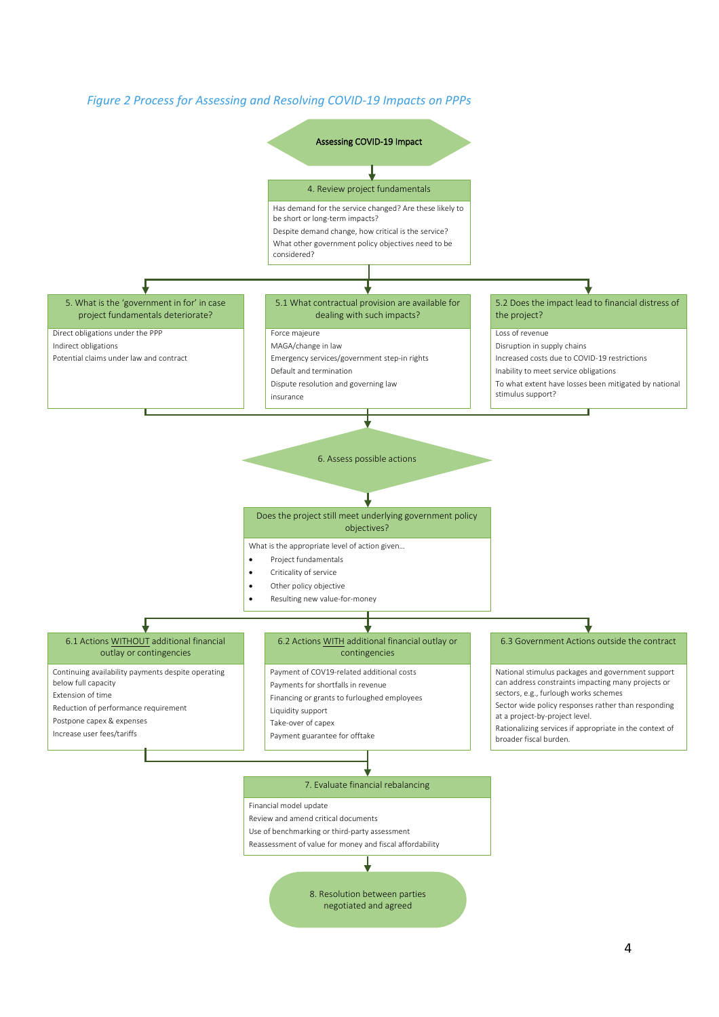

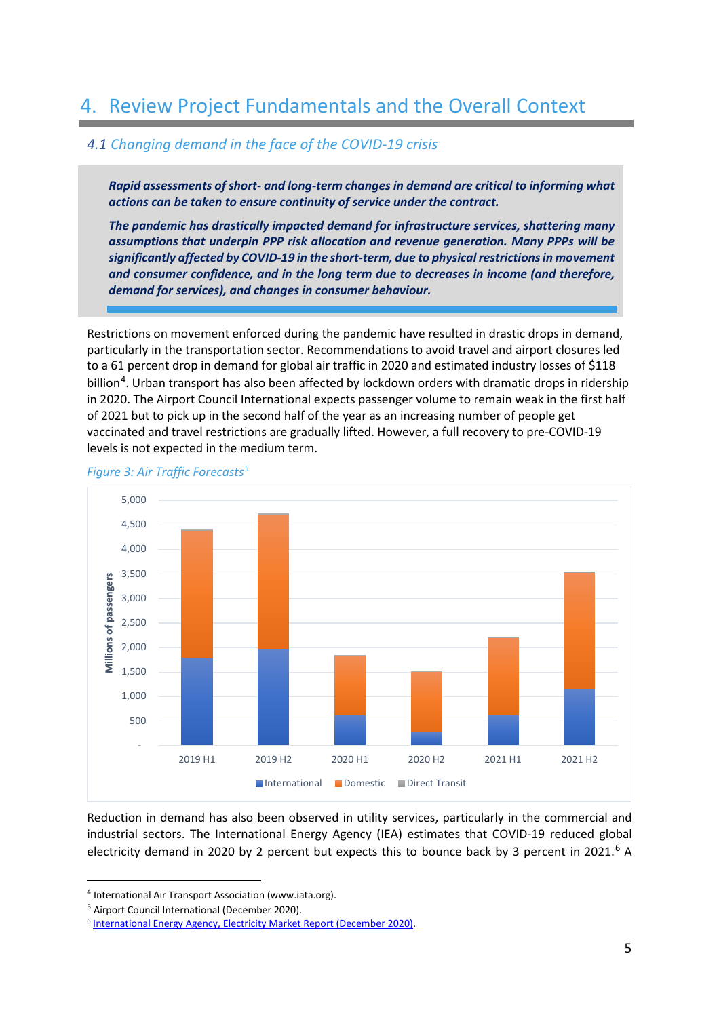### 4. Review Project Fundamentals and the Overall Context

#### *4.1 Changing demand in the face of the COVID-19 crisis*

*Rapid assessments of short- and long-term changes in demand are critical to informing what actions can be taken to ensure continuity of service under the contract.* 

*The pandemic has drastically impacted demand for infrastructure services, shattering many assumptions that underpin PPP risk allocation and revenue generation. Many PPPs will be significantly affected by COVID-19 in the short-term, due to physical restrictions in movement and consumer confidence, and in the long term due to decreases in income (and therefore, demand for services), and changes in consumer behaviour.*

Restrictions on movement enforced during the pandemic have resulted in drastic drops in demand, particularly in the transportation sector. Recommendations to avoid travel and airport closures led to a 61 percent drop in demand for global air traffic in 2020 and estimated industry losses of \$118 billion<sup>[4](#page-4-0)</sup>. Urban transport has also been affected by lockdown orders with dramatic drops in ridership in 2020. The Airport Council International expects passenger volume to remain weak in the first half of 2021 but to pick up in the second half of the year as an increasing number of people get vaccinated and travel restrictions are gradually lifted. However, a full recovery to pre-COVID-19 levels is not expected in the medium term.



#### *Figure 3: Air Traffic Forecasts[5](#page-4-1)*

Reduction in demand has also been observed in utility services, particularly in the commercial and industrial sectors. The International Energy Agency (IEA) estimates that COVID-19 reduced global electricity demand in 2020 by 2 percent but expects this to bounce back by 3 percent in 2021.<sup>[6](#page-4-2)</sup> A

<span id="page-4-0"></span><sup>4</sup> International Air Transport Association (www.iata.org).

<span id="page-4-1"></span><sup>5</sup> Airport Council International (December 2020).

<span id="page-4-2"></span><sup>6</sup> [International Energy Agency, Electricity Market Report \(December 2020\).](https://www.iea.org/reports/electricity-market-report-december-2020/outlook-2021#abstract)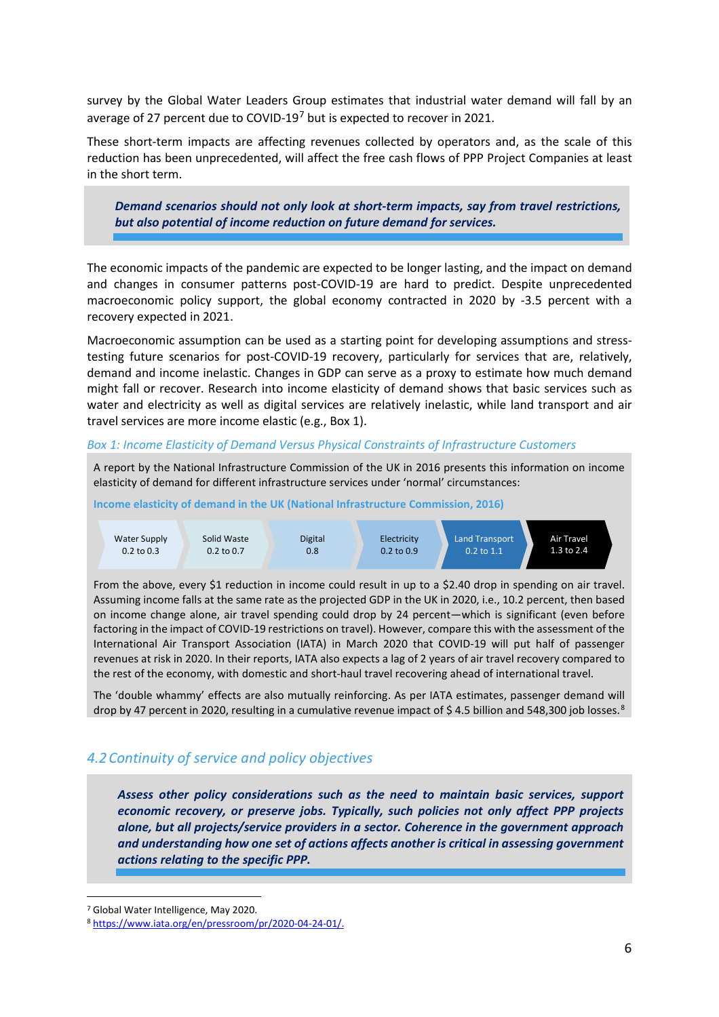survey by the Global Water Leaders Group estimates that industrial water demand will fall by an average of 2[7](#page-5-0) percent due to COVID-19<sup>7</sup> but is expected to recover in 2021.

These short-term impacts are affecting revenues collected by operators and, as the scale of this reduction has been unprecedented, will affect the free cash flows of PPP Project Companies at least in the short term.

*Demand scenarios should not only look at short-term impacts, say from travel restrictions, but also potential of income reduction on future demand for services.* 

The economic impacts of the pandemic are expected to be longer lasting, and the impact on demand and changes in consumer patterns post-COVID-19 are hard to predict. Despite unprecedented macroeconomic policy support, the global economy contracted in 2020 by -3.5 percent with a recovery expected in 2021.

Macroeconomic assumption can be used as a starting point for developing assumptions and stresstesting future scenarios for post-COVID-19 recovery, particularly for services that are, relatively, demand and income inelastic. Changes in GDP can serve as a proxy to estimate how much demand might fall or recover. Research into income elasticity of demand shows that basic services such as water and electricity as well as digital services are relatively inelastic, while land transport and air travel services are more income elastic (e.g., Box 1).

#### *Box 1: Income Elasticity of Demand Versus Physical Constraints of Infrastructure Customers*

A report by the National Infrastructure Commission of the UK in 2016 presents this information on income elasticity of demand for different infrastructure services under 'normal' circumstances:

**Income elasticity of demand in the UK (National Infrastructure Commission, 2016)**



From the above, every \$1 reduction in income could result in up to a \$2.40 drop in spending on air travel. Assuming income falls at the same rate as the projected GDP in the UK in 2020, i.e., 10.2 percent, then based on income change alone, air travel spending could drop by 24 percent—which is significant (even before factoring in the impact of COVID-19 restrictions on travel). However, compare this with the assessment of the International Air Transport Association (IATA) in March 2020 that COVID-19 will put half of passenger revenues at risk in 2020. In their reports, IATA also expects a lag of 2 years of air travel recovery compared to the rest of the economy, with domestic and short-haul travel recovering ahead of international travel.

The 'double whammy' effects are also mutually reinforcing. As per IATA estimates, passenger demand will drop by 47 percent in 2020, resulting in a cumulative revenue impact of \$4.5 billion and 54[8](#page-5-1),300 job losses.<sup>8</sup>

#### *4.2Continuity of service and policy objectives*

*Assess other policy considerations such as the need to maintain basic services, support economic recovery, or preserve jobs. Typically, such policies not only affect PPP projects alone, but all projects/service providers in a sector. Coherence in the government approach and understanding how one set of actions affects another is critical in assessing government actions relating to the specific PPP.*

<span id="page-5-0"></span><sup>7</sup> Global Water Intelligence, May 2020.

<span id="page-5-1"></span><sup>8</sup> [https://www.iata.org/en/pressroom/pr/2020-04-24-01/.](https://www.iata.org/en/pressroom/pr/2020-04-24-01/)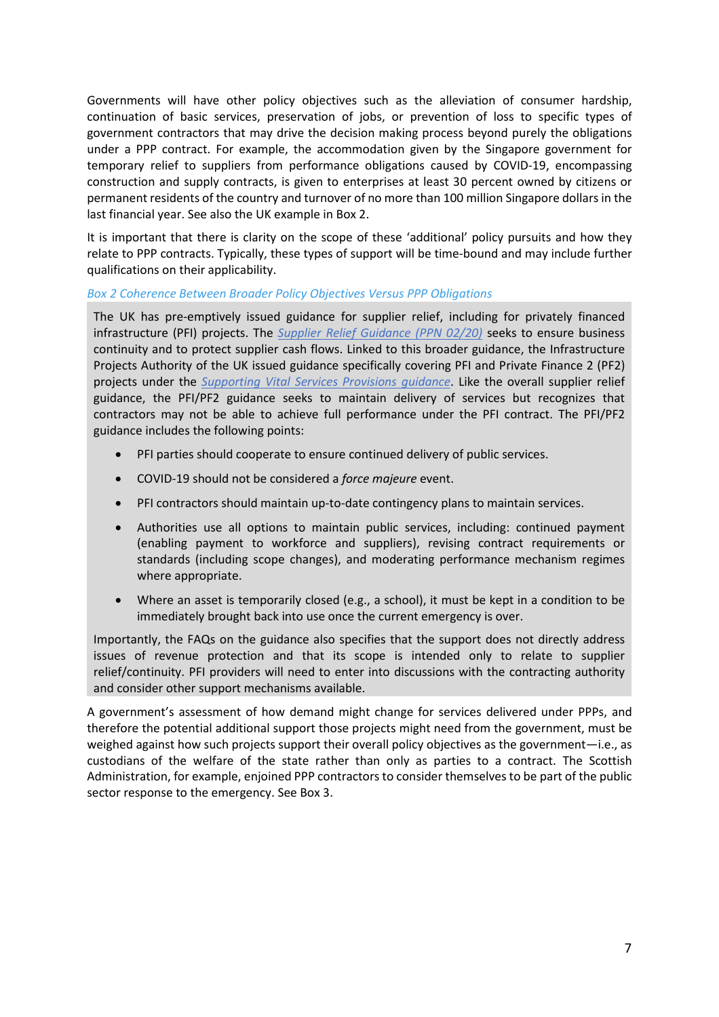Governments will have other policy objectives such as the alleviation of consumer hardship, continuation of basic services, preservation of jobs, or prevention of loss to specific types of government contractors that may drive the decision making process beyond purely the obligations under a PPP contract. For example, the accommodation given by the Singapore government for temporary relief to suppliers from performance obligations caused by COVID-19, encompassing construction and supply contracts, is given to enterprises at least 30 percent owned by citizens or permanent residents of the country and turnover of no more than 100 million Singapore dollars in the last financial year. See also the UK example in Box 2.

It is important that there is clarity on the scope of these 'additional' policy pursuits and how they relate to PPP contracts. Typically, these types of support will be time-bound and may include further qualifications on their applicability.

#### *Box 2 Coherence Between Broader Policy Objectives Versus PPP Obligations*

The UK has pre-emptively issued guidance for supplier relief, including for privately financed infrastructure (PFI) projects. The *[Supplier Relief Guidance \(PPN 02/20\)](https://www.gov.uk/government/publications/procurement-policy-note-0220-supplier-relief-due-to-COVID-19)* seeks to ensure business continuity and to protect supplier cash flows. Linked to this broader guidance, the Infrastructure Projects Authority of the UK issued guidance specifically covering PFI and Private Finance 2 (PF2) projects under the *[Supporting Vital Services Provisions guidance](https://www.gov.uk/government/publications/supporting-vital-service-provision-in-pfipf2-contracts-during-the-COVID-19-emergency)*. Like the overall supplier relief guidance, the PFI/PF2 guidance seeks to maintain delivery of services but recognizes that contractors may not be able to achieve full performance under the PFI contract. The PFI/PF2 guidance includes the following points:

- PFI parties should cooperate to ensure continued delivery of public services.
- COVID-19 should not be considered a *force majeure* event.
- PFI contractors should maintain up-to-date contingency plans to maintain services.
- Authorities use all options to maintain public services, including: continued payment (enabling payment to workforce and suppliers), revising contract requirements or standards (including scope changes), and moderating performance mechanism regimes where appropriate.
- Where an asset is temporarily closed (e.g., a school), it must be kept in a condition to be immediately brought back into use once the current emergency is over.

Importantly, the FAQs on the guidance also specifies that the support does not directly address issues of revenue protection and that its scope is intended only to relate to supplier relief/continuity. PFI providers will need to enter into discussions with the contracting authority and consider other support mechanisms available.

A government's assessment of how demand might change for services delivered under PPPs, and therefore the potential additional support those projects might need from the government, must be weighed against how such projects support their overall policy objectives as the government—i.e., as custodians of the welfare of the state rather than only as parties to a contract. The Scottish Administration, for example, enjoined PPP contractors to consider themselves to be part of the public sector response to the emergency. See Box 3.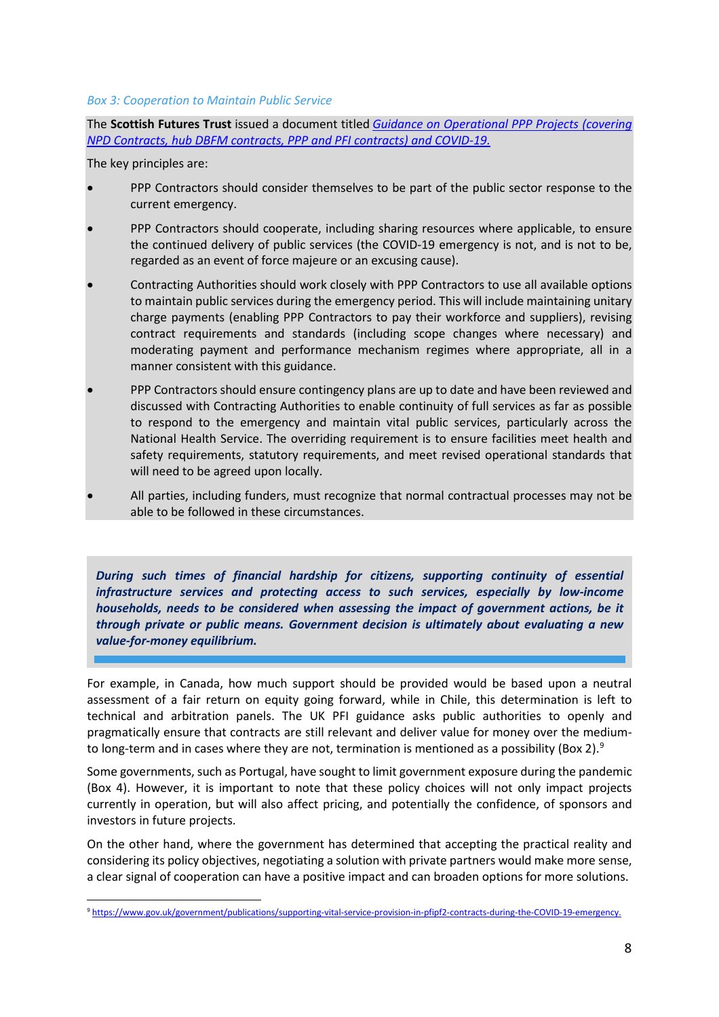#### *Box 3: Cooperation to Maintain Public Service*

The **Scottish Futures Trust** issued a document titled *[Guidance on Operational PPP Projects \(covering](https://nam03.safelinks.protection.outlook.com/?url=https%3A%2F%2Fwww.scottishfuturestrust.org.uk%2Fstorage%2Fuploads%2Fguidanceonoperationalpppprojects6april2020.pdf&data=02%7C01%7Cjjamieson%40worldbank.org%7C93e4ef56b67b4cf2d6d008d869510dee%7C31a2fec0266b4c67b56e2796d8f59c36%7C0%7C1%7C637375144156267139&sdata=25fdLBimXsc3%2BcKt%2FPdH%2FzYpYUjgr7qq83loRctuP58%3D&reserved=0)  [NPD Contracts, hub DBFM contracts, PPP and PFI contracts\) and COVID-19.](https://nam03.safelinks.protection.outlook.com/?url=https%3A%2F%2Fwww.scottishfuturestrust.org.uk%2Fstorage%2Fuploads%2Fguidanceonoperationalpppprojects6april2020.pdf&data=02%7C01%7Cjjamieson%40worldbank.org%7C93e4ef56b67b4cf2d6d008d869510dee%7C31a2fec0266b4c67b56e2796d8f59c36%7C0%7C1%7C637375144156267139&sdata=25fdLBimXsc3%2BcKt%2FPdH%2FzYpYUjgr7qq83loRctuP58%3D&reserved=0)*

The key principles are:

- PPP Contractors should consider themselves to be part of the public sector response to the current emergency.
- PPP Contractors should cooperate, including sharing resources where applicable, to ensure the continued delivery of public services (the COVID-19 emergency is not, and is not to be, regarded as an event of force majeure or an excusing cause).
- Contracting Authorities should work closely with PPP Contractors to use all available options to maintain public services during the emergency period. This will include maintaining unitary charge payments (enabling PPP Contractors to pay their workforce and suppliers), revising contract requirements and standards (including scope changes where necessary) and moderating payment and performance mechanism regimes where appropriate, all in a manner consistent with this guidance.
- PPP Contractors should ensure contingency plans are up to date and have been reviewed and discussed with Contracting Authorities to enable continuity of full services as far as possible to respond to the emergency and maintain vital public services, particularly across the National Health Service. The overriding requirement is to ensure facilities meet health and safety requirements, statutory requirements, and meet revised operational standards that will need to be agreed upon locally.
- All parties, including funders, must recognize that normal contractual processes may not be able to be followed in these circumstances.

*During such times of financial hardship for citizens, supporting continuity of essential infrastructure services and protecting access to such services, especially by low-income households, needs to be considered when assessing the impact of government actions, be it through private or public means. Government decision is ultimately about evaluating a new value-for-money equilibrium.*

For example, in Canada, how much support should be provided would be based upon a neutral assessment of a fair return on equity going forward, while in Chile, this determination is left to technical and arbitration panels. The UK PFI guidance asks public authorities to openly and pragmatically ensure that contracts are still relevant and deliver value for money over the medium-to long-term and in cases where they are not, termination is mentioned as a possibility (Box 2).<sup>[9](#page-7-0)</sup>

Some governments, such as Portugal, have sought to limit government exposure during the pandemic (Box 4). However, it is important to note that these policy choices will not only impact projects currently in operation, but will also affect pricing, and potentially the confidence, of sponsors and investors in future projects.

On the other hand, where the government has determined that accepting the practical reality and considering its policy objectives, negotiating a solution with private partners would make more sense, a clear signal of cooperation can have a positive impact and can broaden options for more solutions.

<span id="page-7-0"></span><sup>9</sup> [https://www.gov.uk/government/publications/supporting-vital-service-provision-in-pfipf2-contracts-during-the-COVID-19-emergency.](https://www.gov.uk/government/publications/supporting-vital-service-provision-in-pfipf2-contracts-during-the-covid-19-emergency)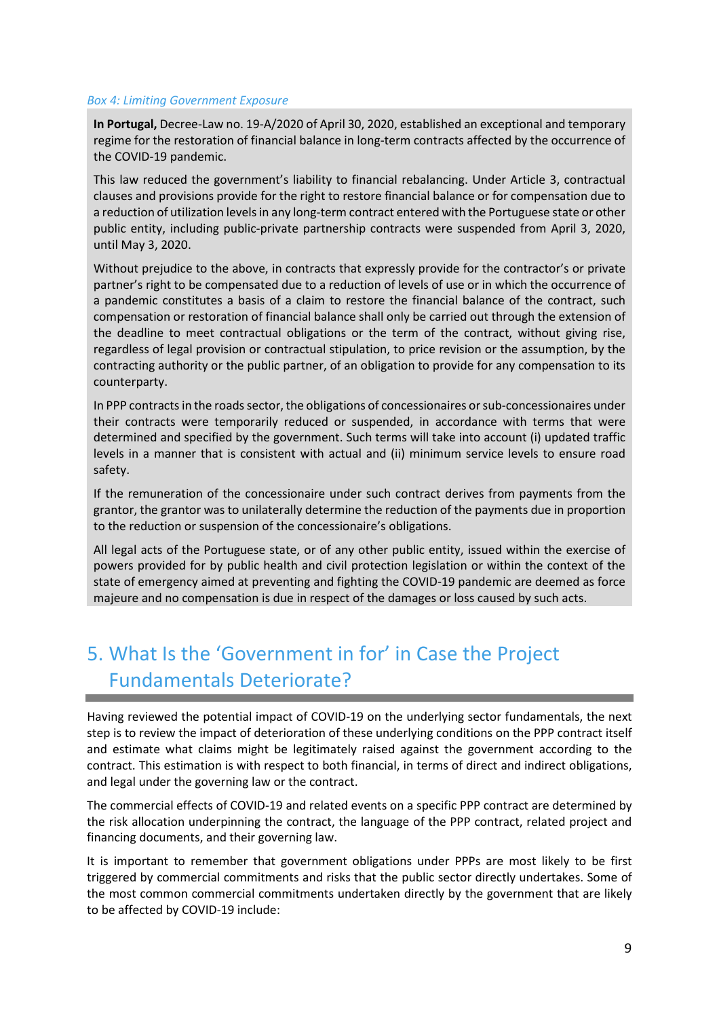#### *Box 4: Limiting Government Exposure*

**In Portugal,** Decree-Law no. 19-A/2020 of April 30, 2020, established an exceptional and temporary regime for the restoration of financial balance in long-term contracts affected by the occurrence of the COVID-19 pandemic.

This law reduced the government's liability to financial rebalancing. Under Article 3, contractual clauses and provisions provide for the right to restore financial balance or for compensation due to a reduction of utilization levels in any long-term contract entered with the Portuguese state or other public entity, including public-private partnership contracts were suspended from April 3, 2020, until May 3, 2020.

Without prejudice to the above, in contracts that expressly provide for the contractor's or private partner's right to be compensated due to a reduction of levels of use or in which the occurrence of a pandemic constitutes a basis of a claim to restore the financial balance of the contract, such compensation or restoration of financial balance shall only be carried out through the extension of the deadline to meet contractual obligations or the term of the contract, without giving rise, regardless of legal provision or contractual stipulation, to price revision or the assumption, by the contracting authority or the public partner, of an obligation to provide for any compensation to its counterparty.

In PPP contracts in the roads sector, the obligations of concessionaires or sub-concessionaires under their contracts were temporarily reduced or suspended, in accordance with terms that were determined and specified by the government. Such terms will take into account (i) updated traffic levels in a manner that is consistent with actual and (ii) minimum service levels to ensure road safety.

If the remuneration of the concessionaire under such contract derives from payments from the grantor, the grantor was to unilaterally determine the reduction of the payments due in proportion to the reduction or suspension of the concessionaire's obligations.

All legal acts of the Portuguese state, or of any other public entity, issued within the exercise of powers provided for by public health and civil protection legislation or within the context of the state of emergency aimed at preventing and fighting the COVID-19 pandemic are deemed as force majeure and no compensation is due in respect of the damages or loss caused by such acts.

### 5. What Is the 'Government in for' in Case the Project Fundamentals Deteriorate?

Having reviewed the potential impact of COVID-19 on the underlying sector fundamentals, the next step is to review the impact of deterioration of these underlying conditions on the PPP contract itself and estimate what claims might be legitimately raised against the government according to the contract. This estimation is with respect to both financial, in terms of direct and indirect obligations, and legal under the governing law or the contract.

The commercial effects of COVID-19 and related events on a specific PPP contract are determined by the risk allocation underpinning the contract, the language of the PPP contract, related project and financing documents, and their governing law.

It is important to remember that government obligations under PPPs are most likely to be first triggered by commercial commitments and risks that the public sector directly undertakes. Some of the most common commercial commitments undertaken directly by the government that are likely to be affected by COVID-19 include: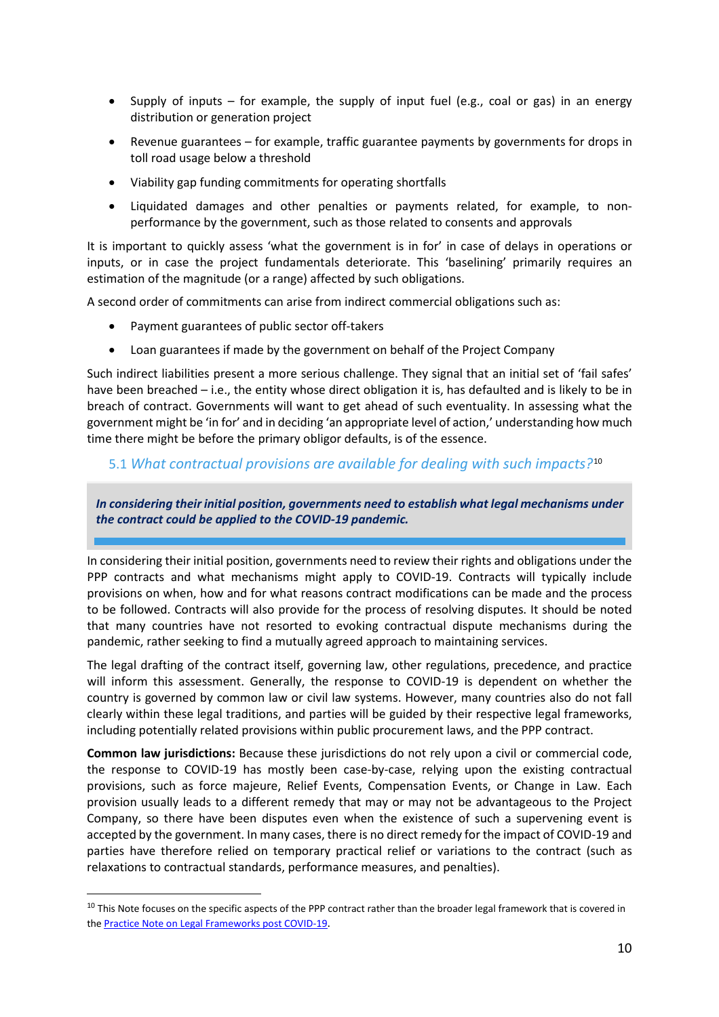- Supply of inputs for example, the supply of input fuel (e.g., coal or gas) in an energy distribution or generation project
- Revenue guarantees for example, traffic guarantee payments by governments for drops in toll road usage below a threshold
- Viability gap funding commitments for operating shortfalls
- Liquidated damages and other penalties or payments related, for example, to nonperformance by the government, such as those related to consents and approvals

It is important to quickly assess 'what the government is in for' in case of delays in operations or inputs, or in case the project fundamentals deteriorate. This 'baselining' primarily requires an estimation of the magnitude (or a range) affected by such obligations.

A second order of commitments can arise from indirect commercial obligations such as:

- Payment guarantees of public sector off-takers
- Loan guarantees if made by the government on behalf of the Project Company

Such indirect liabilities present a more serious challenge. They signal that an initial set of 'fail safes' have been breached – i.e., the entity whose direct obligation it is, has defaulted and is likely to be in breach of contract. Governments will want to get ahead of such eventuality. In assessing what the government might be 'in for' and in deciding 'an appropriate level of action,' understanding how much time there might be before the primary obligor defaults, is of the essence.

#### 5.1 *What contractual provisions are available for dealing with such impacts?*[10](#page-9-0)

*Establish what legal mechanisms under the contract could be applied to the COVID-19 pandemic. In considering their initial position, governments need to establish what legal mechanisms under the contract could be applied to the COVID-19 pandemic.*

In considering their initial position, governments need to review their rights and obligations under the PPP contracts and what mechanisms might apply to COVID-19. Contracts will typically include provisions on when, how and for what reasons contract modifications can be made and the process to be followed. Contracts will also provide for the process of resolving disputes. It should be noted that many countries have not resorted to evoking contractual dispute mechanisms during the pandemic, rather seeking to find a mutually agreed approach to maintaining services.

The legal drafting of the contract itself, governing law, other regulations, precedence, and practice will inform this assessment. Generally, the response to COVID-19 is dependent on whether the country is governed by common law or civil law systems. However, many countries also do not fall clearly within these legal traditions, and parties will be guided by their respective legal frameworks, including potentially related provisions within public procurement laws, and the PPP contract.

**Common law jurisdictions:** Because these jurisdictions do not rely upon a civil or commercial code, the response to COVID-19 has mostly been case-by-case, relying upon the existing contractual provisions, such as force majeure, Relief Events, Compensation Events, or Change in Law. Each provision usually leads to a different remedy that may or may not be advantageous to the Project Company, so there have been disputes even when the existence of such a supervening event is accepted by the government. In many cases, there is no direct remedy for the impact of COVID-19 and parties have therefore relied on temporary practical relief or variations to the contract (such as relaxations to contractual standards, performance measures, and penalties).

<span id="page-9-0"></span> $10$  This Note focuses on the specific aspects of the PPP contract rather than the broader legal framework that is covered in the [Practice Note on Legal Frameworks post COVID-19.](https://library.pppknowledgelab.org/documents/5980/download)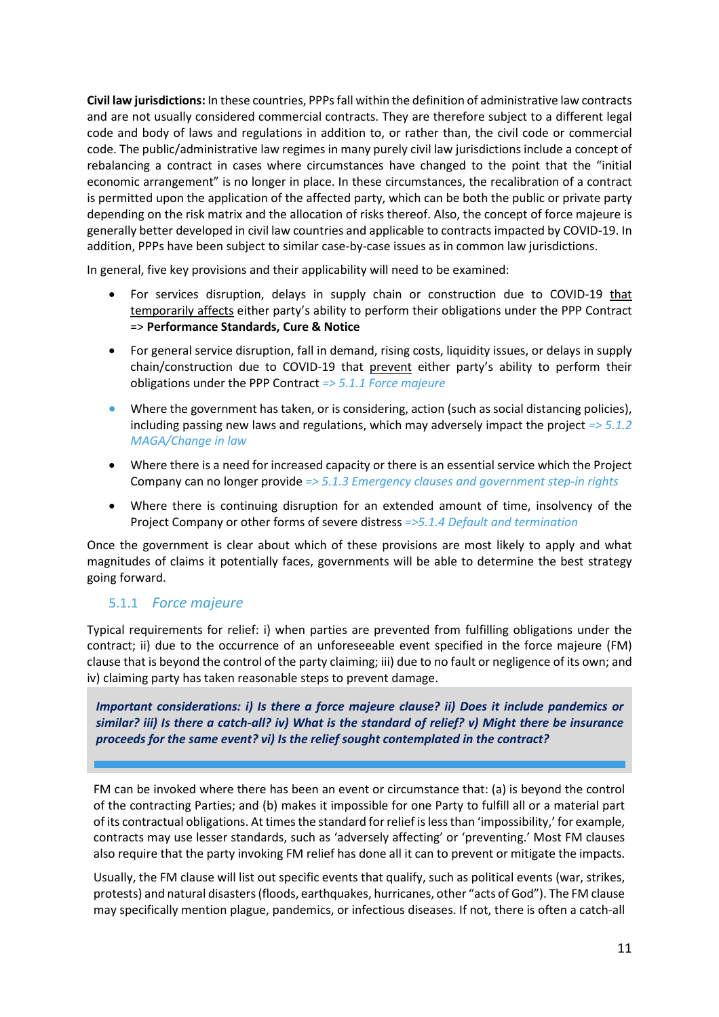**Civil law jurisdictions:** In these countries, PPPs fall within the definition of administrative law contracts and are not usually considered commercial contracts. They are therefore subject to a different legal code and body of laws and regulations in addition to, or rather than, the civil code or commercial code. The public/administrative law regimes in many purely civil law jurisdictions include a concept of rebalancing a contract in cases where circumstances have changed to the point that the "initial economic arrangement" is no longer in place. In these circumstances, the recalibration of a contract is permitted upon the application of the affected party, which can be both the public or private party depending on the risk matrix and the allocation of risks thereof. Also, the concept of force majeure is generally better developed in civil law countries and applicable to contracts impacted by COVID-19. In addition, PPPs have been subject to similar case-by-case issues as in common law jurisdictions.

In general, five key provisions and their applicability will need to be examined:

- For services disruption, delays in supply chain or construction due to COVID-19 that temporarily affects either party's ability to perform their obligations under the PPP Contract => **Performance Standards, Cure & Notice**
- For general service disruption, fall in demand, rising costs, liquidity issues, or delays in supply chain/construction due to COVID-19 that prevent either party's ability to perform their obligations under the PPP Contract *=> 5.1.1 Force majeure*
- Where the government has taken, or is considering, action (such as social distancing policies), including passing new laws and regulations, which may adversely impact the project *=> 5.1.2 MAGA/Change in law*
- Where there is a need for increased capacity or there is an essential service which the Project Company can no longer provide *=> 5.1.3 Emergency clauses and government step-in rights*
- Where there is continuing disruption for an extended amount of time, insolvency of the Project Company or other forms of severe distress *=>5.1.4 Default and termination*

Once the government is clear about which of these provisions are most likely to apply and what magnitudes of claims it potentially faces, governments will be able to determine the best strategy going forward.

#### 5.1.1 *Force majeure*

Typical requirements for relief: i) when parties are prevented from fulfilling obligations under the contract; ii) due to the occurrence of an unforeseeable event specified in the force majeure (FM) clause that is beyond the control of the party claiming; iii) due to no fault or negligence of its own; and iv) claiming party has taken reasonable steps to prevent damage.

*Important considerations: i) Is there a force majeure clause? ii) Does it include pandemics or similar? iii) Is there a catch-all? iv) What is the standard of relief? v) Might there be insurance proceeds for the same event? vi) Is the relief sought contemplated in the contract?*

FM can be invoked where there has been an event or circumstance that: (a) is beyond the control of the contracting Parties; and (b) makes it impossible for one Party to fulfill all or a material part of its contractual obligations. At times the standard for relief is less than 'impossibility,' for example, contracts may use lesser standards, such as 'adversely affecting' or 'preventing.' Most FM clauses also require that the party invoking FM relief has done all it can to prevent or mitigate the impacts.

Usually, the FM clause will list out specific events that qualify, such as political events (war, strikes, protests) and natural disasters (floods, earthquakes, hurricanes, other "acts of God"). The FM clause may specifically mention plague, pandemics, or infectious diseases. If not, there is often a catch-all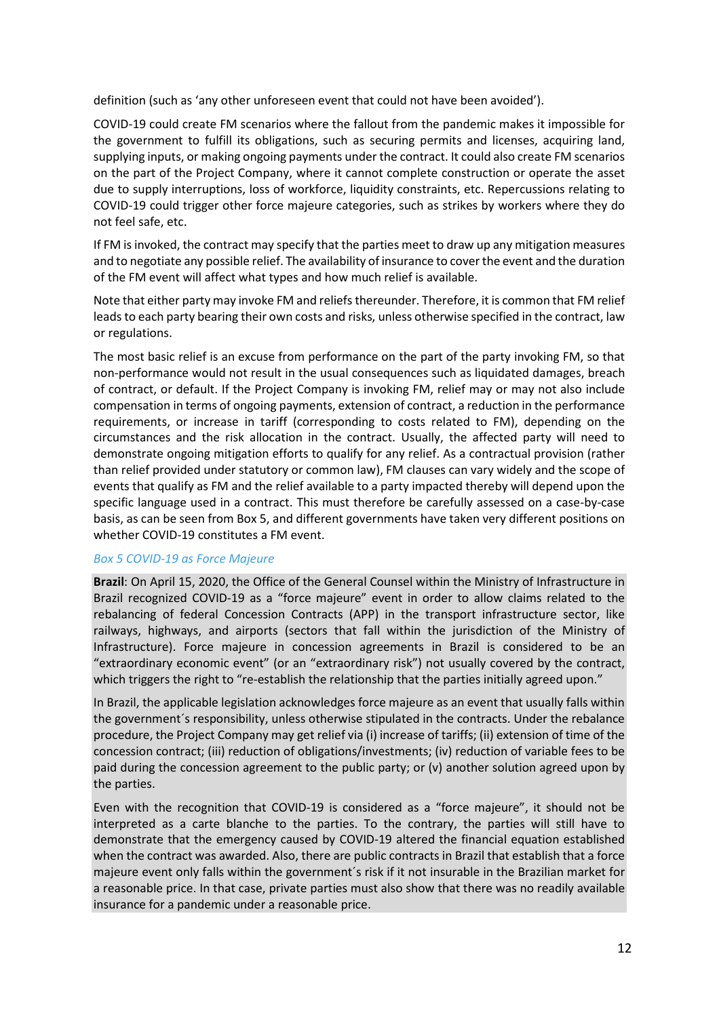definition (such as 'any other unforeseen event that could not have been avoided').

COVID-19 could create FM scenarios where the fallout from the pandemic makes it impossible for the government to fulfill its obligations, such as securing permits and licenses, acquiring land, supplying inputs, or making ongoing payments under the contract. It could also create FM scenarios on the part of the Project Company, where it cannot complete construction or operate the asset due to supply interruptions, loss of workforce, liquidity constraints, etc. Repercussions relating to COVID-19 could trigger other force majeure categories, such as strikes by workers where they do not feel safe, etc.

If FM is invoked, the contract may specify that the parties meet to draw up any mitigation measures and to negotiate any possible relief. The availability of insurance to cover the event and the duration of the FM event will affect what types and how much relief is available.

Note that either party may invoke FM and reliefs thereunder. Therefore, it is common that FM relief leads to each party bearing their own costs and risks, unless otherwise specified in the contract, law or regulations.

The most basic relief is an excuse from performance on the part of the party invoking FM, so that non-performance would not result in the usual consequences such as liquidated damages, breach of contract, or default. If the Project Company is invoking FM, relief may or may not also include compensation in terms of ongoing payments, extension of contract, a reduction in the performance requirements, or increase in tariff (corresponding to costs related to FM), depending on the circumstances and the risk allocation in the contract. Usually, the affected party will need to demonstrate ongoing mitigation efforts to qualify for any relief. As a contractual provision (rather than relief provided under statutory or common law), FM clauses can vary widely and the scope of events that qualify as FM and the relief available to a party impacted thereby will depend upon the specific language used in a contract. This must therefore be carefully assessed on a case-by-case basis, as can be seen from Box 5, and different governments have taken very different positions on whether COVID-19 constitutes a FM event.

#### *Box 5 COVID-19 as Force Majeure*

**Brazil**: On April 15, 2020, the Office of the General Counsel within the Ministry of Infrastructure in Brazil recognized COVID-19 as a "force majeure" event in order to allow claims related to the rebalancing of federal Concession Contracts (APP) in the transport infrastructure sector, like railways, highways, and airports (sectors that fall within the jurisdiction of the Ministry of Infrastructure). Force majeure in concession agreements in Brazil is considered to be an "extraordinary economic event" (or an "extraordinary risk") not usually covered by the contract, which triggers the right to "re-establish the relationship that the parties initially agreed upon."

In Brazil, the applicable legislation acknowledges force majeure as an event that usually falls within the government´s responsibility, unless otherwise stipulated in the contracts. Under the rebalance procedure, the Project Company may get relief via (i) increase of tariffs; (ii) extension of time of the concession contract; (iii) reduction of obligations/investments; (iv) reduction of variable fees to be paid during the concession agreement to the public party; or (v) another solution agreed upon by the parties.

Even with the recognition that COVID-19 is considered as a "force majeure", it should not be interpreted as a carte blanche to the parties. To the contrary, the parties will still have to demonstrate that the emergency caused by COVID-19 altered the financial equation established when the contract was awarded. Also, there are public contracts in Brazil that establish that a force majeure event only falls within the government´s risk if it not insurable in the Brazilian market for a reasonable price. In that case, private parties must also show that there was no readily available insurance for a pandemic under a reasonable price.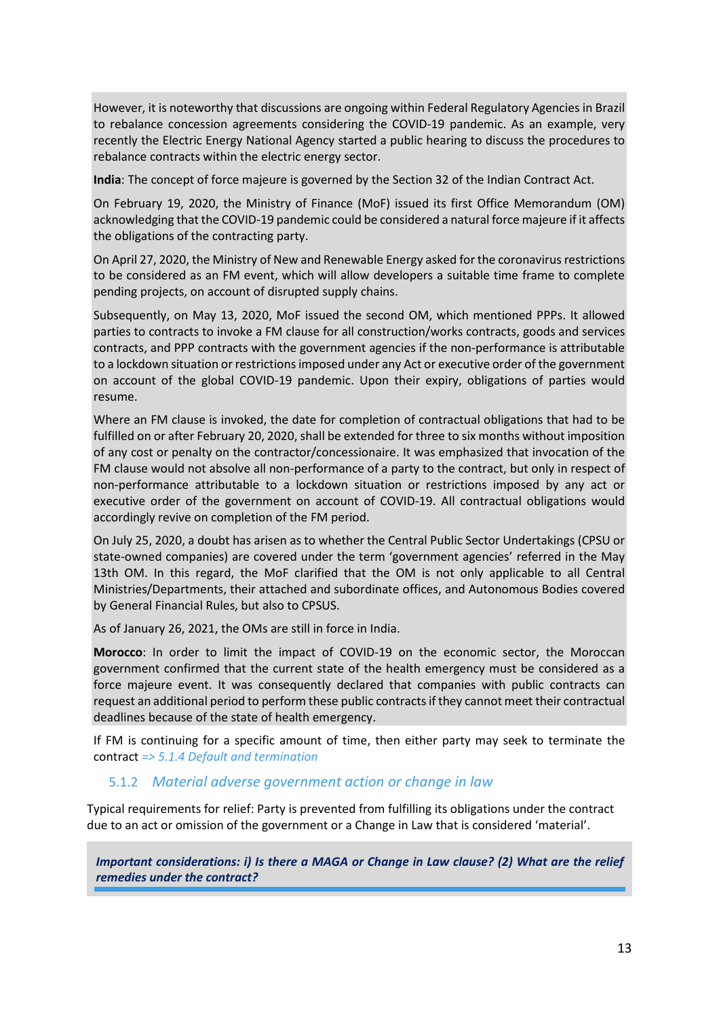However, it is noteworthy that discussions are ongoing within Federal Regulatory Agencies in Brazil to rebalance concession agreements considering the COVID-19 pandemic. As an example, very recently the Electric Energy National Agency started a public hearing to discuss the procedures to rebalance contracts within the electric energy sector.

**India**: The concept of force majeure is governed by the Section 32 of the Indian Contract Act.

On February 19, 2020, the Ministry of Finance (MoF) issued its first Office Memorandum (OM) acknowledging that the COVID-19 pandemic could be considered a natural force majeure if it affects the obligations of the contracting party.

On April 27, 2020, the Ministry of New and Renewable Energy asked for the coronavirus restrictions to be considered as an FM event, which will allow developers a suitable time frame to complete pending projects, on account of disrupted supply chains.

Subsequently, on May 13, 2020, MoF issued the second OM, which mentioned PPPs. It allowed parties to contracts to invoke a FM clause for all construction/works contracts, goods and services contracts, and PPP contracts with the government agencies if the non-performance is attributable to a lockdown situation or restrictions imposed under any Act or executive order of the government on account of the global COVID-19 pandemic. Upon their expiry, obligations of parties would resume.

Where an FM clause is invoked, the date for completion of contractual obligations that had to be fulfilled on or after February 20, 2020, shall be extended for three to six months without imposition of any cost or penalty on the contractor/concessionaire. It was emphasized that invocation of the FM clause would not absolve all non-performance of a party to the contract, but only in respect of non-performance attributable to a lockdown situation or restrictions imposed by any act or executive order of the government on account of COVID-19. All contractual obligations would accordingly revive on completion of the FM period.

On July 25, 2020, a doubt has arisen as to whether the Central Public Sector Undertakings (CPSU or state-owned companies) are covered under the term 'government agencies' referred in the May 13th OM. In this regard, the MoF clarified that the OM is not only applicable to all Central Ministries/Departments, their attached and subordinate offices, and Autonomous Bodies covered by General Financial Rules, but also to CPSUS.

As of January 26, 2021, the OMs are still in force in India.

**Morocco**: In order to limit the impact of COVID-19 on the economic sector, the Moroccan government confirmed that the current state of the health emergency must be considered as a force majeure event. It was consequently declared that companies with public contracts can request an additional period to perform these public contracts if they cannot meet their contractual deadlines because of the state of health emergency.

If FM is continuing for a specific amount of time, then either party may seek to terminate the contract *=> 5.1.4 Default and termination*

#### 5.1.2 *Material adverse government action or change in law*

Typical requirements for relief: Party is prevented from fulfilling its obligations under the contract due to an act or omission of the government or a Change in Law that is considered 'material'.

*Important considerations: i) Is there a MAGA or Change in Law clause? (2) What are the relief remedies under the contract?*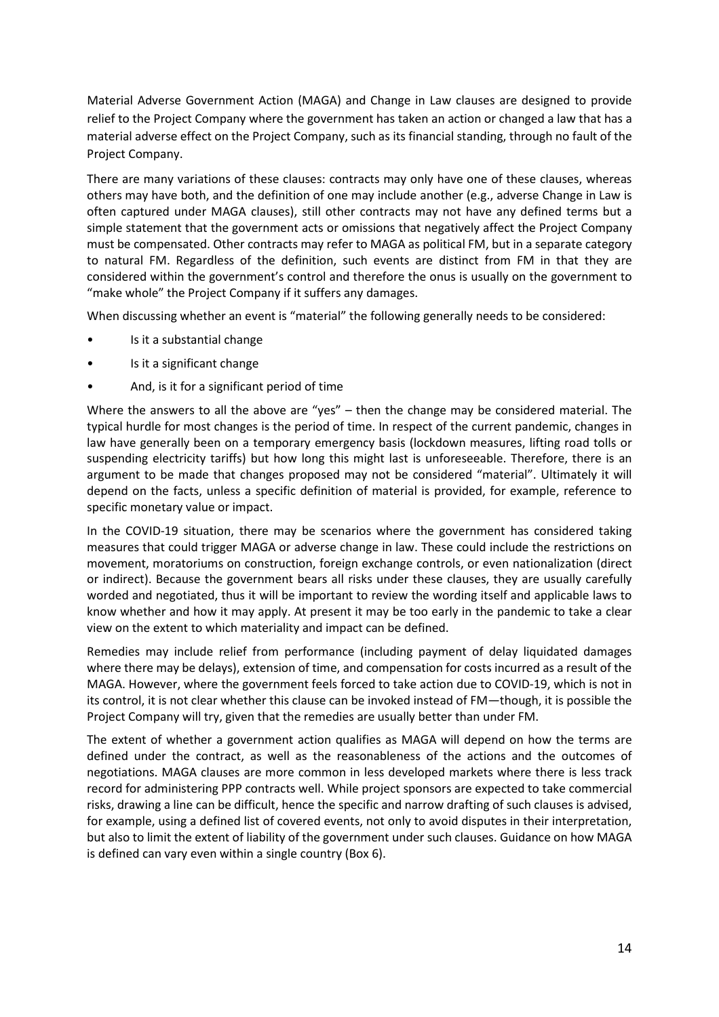Material Adverse Government Action (MAGA) and Change in Law clauses are designed to provide relief to the Project Company where the government has taken an action or changed a law that has a material adverse effect on the Project Company, such as its financial standing, through no fault of the Project Company.

There are many variations of these clauses: contracts may only have one of these clauses, whereas others may have both, and the definition of one may include another (e.g., adverse Change in Law is often captured under MAGA clauses), still other contracts may not have any defined terms but a simple statement that the government acts or omissions that negatively affect the Project Company must be compensated. Other contracts may refer to MAGA as political FM, but in a separate category to natural FM. Regardless of the definition, such events are distinct from FM in that they are considered within the government's control and therefore the onus is usually on the government to "make whole" the Project Company if it suffers any damages.

When discussing whether an event is "material" the following generally needs to be considered:

- Is it a substantial change
- Is it a significant change
- And, is it for a significant period of time

Where the answers to all the above are "yes" – then the change may be considered material. The typical hurdle for most changes is the period of time. In respect of the current pandemic, changes in law have generally been on a temporary emergency basis (lockdown measures, lifting road tolls or suspending electricity tariffs) but how long this might last is unforeseeable. Therefore, there is an argument to be made that changes proposed may not be considered "material". Ultimately it will depend on the facts, unless a specific definition of material is provided, for example, reference to specific monetary value or impact.

In the COVID-19 situation, there may be scenarios where the government has considered taking measures that could trigger MAGA or adverse change in law. These could include the restrictions on movement, moratoriums on construction, foreign exchange controls, or even nationalization (direct or indirect). Because the government bears all risks under these clauses, they are usually carefully worded and negotiated, thus it will be important to review the wording itself and applicable laws to know whether and how it may apply. At present it may be too early in the pandemic to take a clear view on the extent to which materiality and impact can be defined.

Remedies may include relief from performance (including payment of delay liquidated damages where there may be delays), extension of time, and compensation for costs incurred as a result of the MAGA. However, where the government feels forced to take action due to COVID-19, which is not in its control, it is not clear whether this clause can be invoked instead of FM—though, it is possible the Project Company will try, given that the remedies are usually better than under FM.

The extent of whether a government action qualifies as MAGA will depend on how the terms are defined under the contract, as well as the reasonableness of the actions and the outcomes of negotiations. MAGA clauses are more common in less developed markets where there is less track record for administering PPP contracts well. While project sponsors are expected to take commercial risks, drawing a line can be difficult, hence the specific and narrow drafting of such clauses is advised, for example, using a defined list of covered events, not only to avoid disputes in their interpretation, but also to limit the extent of liability of the government under such clauses. Guidance on how MAGA is defined can vary even within a single country (Box 6).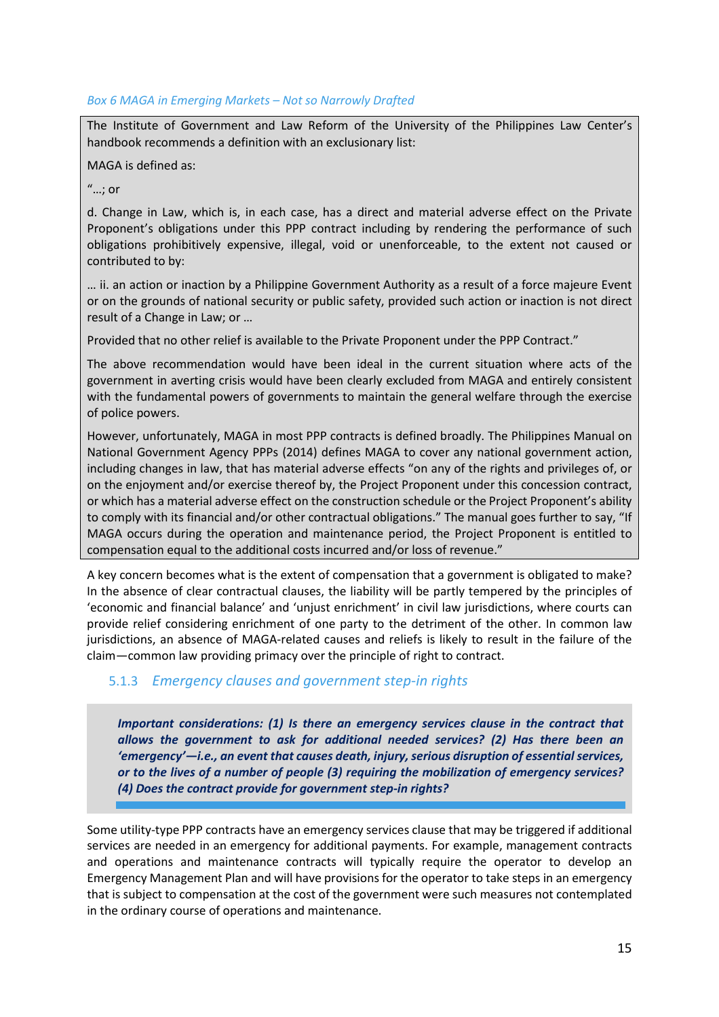#### *Box 6 MAGA in Emerging Markets – Not so Narrowly Drafted*

The Institute of Government and Law Reform of the University of the Philippines Law Center's handbook recommends a definition with an exclusionary list:

#### MAGA is defined as:

"…; or

d. Change in Law, which is, in each case, has a direct and material adverse effect on the Private Proponent's obligations under this PPP contract including by rendering the performance of such obligations prohibitively expensive, illegal, void or unenforceable, to the extent not caused or contributed to by:

… ii. an action or inaction by a Philippine Government Authority as a result of a force majeure Event or on the grounds of national security or public safety, provided such action or inaction is not direct result of a Change in Law; or …

Provided that no other relief is available to the Private Proponent under the PPP Contract."

The above recommendation would have been ideal in the current situation where acts of the government in averting crisis would have been clearly excluded from MAGA and entirely consistent with the fundamental powers of governments to maintain the general welfare through the exercise of police powers.

However, unfortunately, MAGA in most PPP contracts is defined broadly. The Philippines Manual on National Government Agency PPPs (2014) defines MAGA to cover any national government action, including changes in law, that has material adverse effects "on any of the rights and privileges of, or on the enjoyment and/or exercise thereof by, the Project Proponent under this concession contract, or which has a material adverse effect on the construction schedule or the Project Proponent's ability to comply with its financial and/or other contractual obligations." The manual goes further to say, "If MAGA occurs during the operation and maintenance period, the Project Proponent is entitled to compensation equal to the additional costs incurred and/or loss of revenue."

A key concern becomes what is the extent of compensation that a government is obligated to make? In the absence of clear contractual clauses, the liability will be partly tempered by the principles of 'economic and financial balance' and 'unjust enrichment' in civil law jurisdictions, where courts can provide relief considering enrichment of one party to the detriment of the other. In common law jurisdictions, an absence of MAGA-related causes and reliefs is likely to result in the failure of the claim—common law providing primacy over the principle of right to contract.

#### 5.1.3 *Emergency clauses and government step-in rights*

*Important considerations: (1) Is there an emergency services clause in the contract that allows the government to ask for additional needed services? (2) Has there been an 'emergency'—i.e., an event that causes death, injury, serious disruption of essential services, or to the lives of a number of people (3) requiring the mobilization of emergency services? (4) Does the contract provide for government step-in rights?*

Some utility-type PPP contracts have an emergency services clause that may be triggered if additional services are needed in an emergency for additional payments. For example, management contracts and operations and maintenance contracts will typically require the operator to develop an Emergency Management Plan and will have provisions for the operator to take steps in an emergency that is subject to compensation at the cost of the government were such measures not contemplated in the ordinary course of operations and maintenance.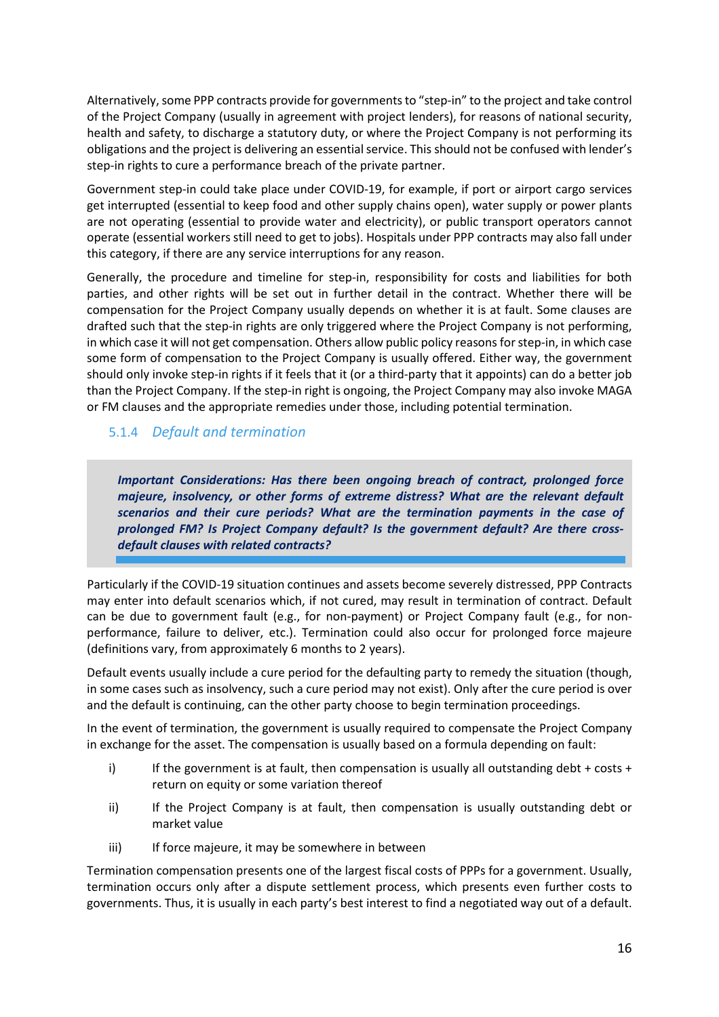Alternatively, some PPP contracts provide for governments to "step-in" to the project and take control of the Project Company (usually in agreement with project lenders), for reasons of national security, health and safety, to discharge a statutory duty, or where the Project Company is not performing its obligations and the project is delivering an essential service. This should not be confused with lender's step-in rights to cure a performance breach of the private partner.

Government step-in could take place under COVID-19, for example, if port or airport cargo services get interrupted (essential to keep food and other supply chains open), water supply or power plants are not operating (essential to provide water and electricity), or public transport operators cannot operate (essential workers still need to get to jobs). Hospitals under PPP contracts may also fall under this category, if there are any service interruptions for any reason.

Generally, the procedure and timeline for step-in, responsibility for costs and liabilities for both parties, and other rights will be set out in further detail in the contract. Whether there will be compensation for the Project Company usually depends on whether it is at fault. Some clauses are drafted such that the step-in rights are only triggered where the Project Company is not performing, in which case it will not get compensation. Others allow public policy reasons for step-in, in which case some form of compensation to the Project Company is usually offered. Either way, the government should only invoke step-in rights if it feels that it (or a third-party that it appoints) can do a better job than the Project Company. If the step-in right is ongoing, the Project Company may also invoke MAGA or FM clauses and the appropriate remedies under those, including potential termination.

#### 5.1.4 *Default and termination*

*Important Considerations: Has there been ongoing breach of contract, prolonged force majeure, insolvency, or other forms of extreme distress? What are the relevant default scenarios and their cure periods? What are the termination payments in the case of prolonged FM? Is Project Company default? Is the government default? Are there crossdefault clauses with related contracts?*

Particularly if the COVID-19 situation continues and assets become severely distressed, PPP Contracts may enter into default scenarios which, if not cured, may result in termination of contract. Default can be due to government fault (e.g., for non-payment) or Project Company fault (e.g., for nonperformance, failure to deliver, etc.). Termination could also occur for prolonged force majeure (definitions vary, from approximately 6 months to 2 years).

Default events usually include a cure period for the defaulting party to remedy the situation (though, in some cases such as insolvency, such a cure period may not exist). Only after the cure period is over and the default is continuing, can the other party choose to begin termination proceedings.

In the event of termination, the government is usually required to compensate the Project Company in exchange for the asset. The compensation is usually based on a formula depending on fault:

- i) If the government is at fault, then compensation is usually all outstanding debt  $+$  costs  $+$ return on equity or some variation thereof
- ii) If the Project Company is at fault, then compensation is usually outstanding debt or market value
- iii) If force majeure, it may be somewhere in between

Termination compensation presents one of the largest fiscal costs of PPPs for a government. Usually, termination occurs only after a dispute settlement process, which presents even further costs to governments. Thus, it is usually in each party's best interest to find a negotiated way out of a default.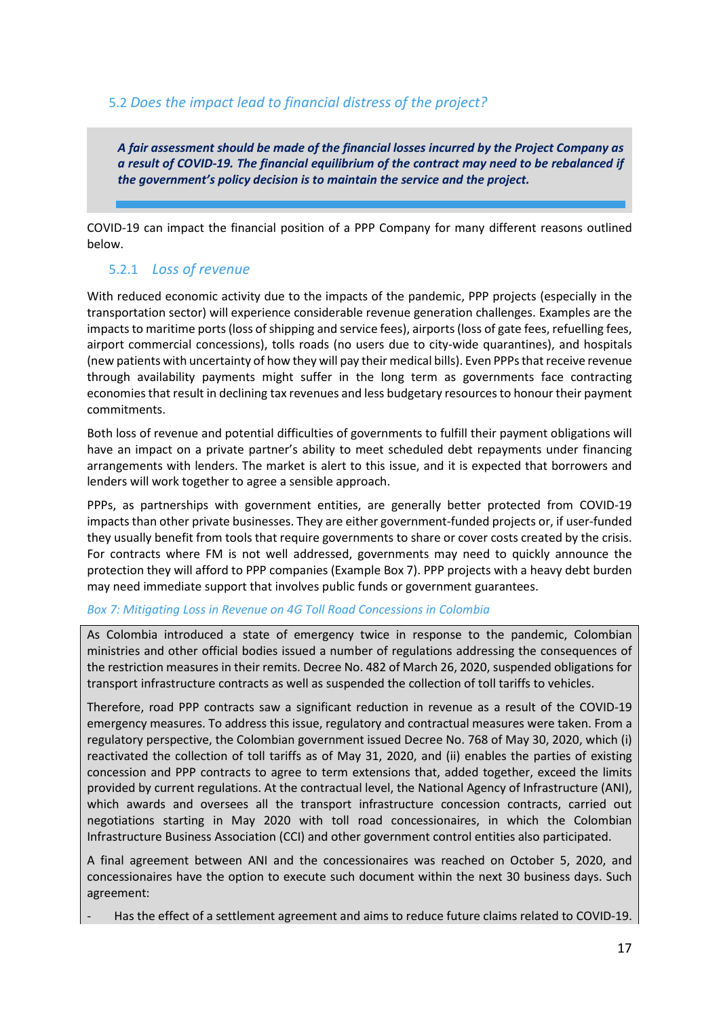#### 5.2 *Does the impact lead to financial distress of the project?*

*A fair assessment should be made of the financial losses incurred by the Project Company as a result of COVID-19. The financial equilibrium of the contract may need to be rebalanced if the government's policy decision is to maintain the service and the project.*

COVID-19 can impact the financial position of a PPP Company for many different reasons outlined below.

#### 5.2.1 *Loss of revenue*

With reduced economic activity due to the impacts of the pandemic, PPP projects (especially in the transportation sector) will experience considerable revenue generation challenges. Examples are the impacts to maritime ports (loss of shipping and service fees), airports (loss of gate fees, refuelling fees, airport commercial concessions), tolls roads (no users due to city-wide quarantines), and hospitals (new patients with uncertainty of how they will pay their medical bills). Even PPPs that receive revenue through availability payments might suffer in the long term as governments face contracting economies that result in declining tax revenues and less budgetary resources to honour their payment commitments.

Both loss of revenue and potential difficulties of governments to fulfill their payment obligations will have an impact on a private partner's ability to meet scheduled debt repayments under financing arrangements with lenders. The market is alert to this issue, and it is expected that borrowers and lenders will work together to agree a sensible approach.

PPPs, as partnerships with government entities, are generally better protected from COVID-19 impacts than other private businesses. They are either government-funded projects or, if user-funded they usually benefit from tools that require governments to share or cover costs created by the crisis. For contracts where FM is not well addressed, governments may need to quickly announce the protection they will afford to PPP companies (Example Box 7). PPP projects with a heavy debt burden may need immediate support that involves public funds or government guarantees.

#### *Box 7: Mitigating Loss in Revenue on 4G Toll Road Concessions in Colombia*

As Colombia introduced a state of emergency twice in response to the pandemic, Colombian ministries and other official bodies issued a number of regulations addressing the consequences of the restriction measures in their remits. Decree No. 482 of March 26, 2020, suspended obligations for transport infrastructure contracts as well as suspended the collection of toll tariffs to vehicles.

Therefore, road PPP contracts saw a significant reduction in revenue as a result of the COVID-19 emergency measures. To address this issue, regulatory and contractual measures were taken. From a regulatory perspective, the Colombian government issued Decree No. 768 of May 30, 2020, which (i) reactivated the collection of toll tariffs as of May 31, 2020, and (ii) enables the parties of existing concession and PPP contracts to agree to term extensions that, added together, exceed the limits provided by current regulations. At the contractual level, the National Agency of Infrastructure (ANI), which awards and oversees all the transport infrastructure concession contracts, carried out negotiations starting in May 2020 with toll road concessionaires, in which the Colombian Infrastructure Business Association (CCI) and other government control entities also participated.

A final agreement between ANI and the concessionaires was reached on October 5, 2020, and concessionaires have the option to execute such document within the next 30 business days. Such agreement:

Has the effect of a settlement agreement and aims to reduce future claims related to COVID-19.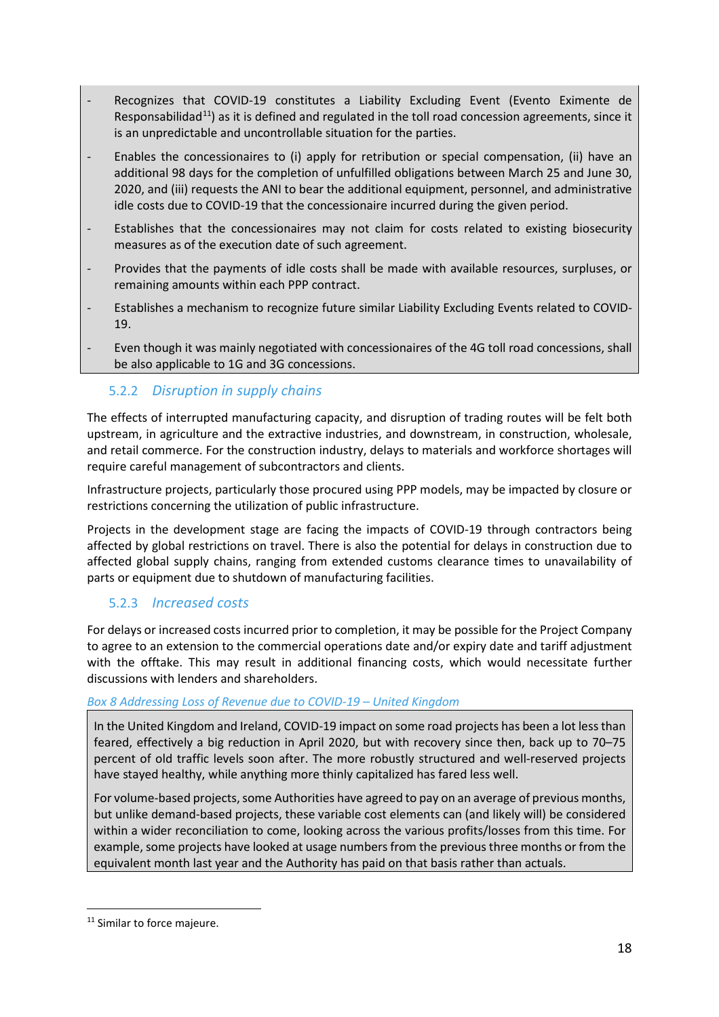- Recognizes that COVID-19 constitutes a Liability Excluding Event (Evento Eximente de Responsabilidad<sup>11</sup>) as it is defined and regulated in the toll road concession agreements, since it is an unpredictable and uncontrollable situation for the parties.
- Enables the concessionaires to (i) apply for retribution or special compensation, (ii) have an additional 98 days for the completion of unfulfilled obligations between March 25 and June 30, 2020, and (iii) requests the ANI to bear the additional equipment, personnel, and administrative idle costs due to COVID-19 that the concessionaire incurred during the given period.
- Establishes that the concessionaires may not claim for costs related to existing biosecurity measures as of the execution date of such agreement.
- Provides that the payments of idle costs shall be made with available resources, surpluses, or remaining amounts within each PPP contract.
- Establishes a mechanism to recognize future similar Liability Excluding Events related to COVID-19.
- Even though it was mainly negotiated with concessionaires of the 4G toll road concessions, shall be also applicable to 1G and 3G concessions.

#### 5.2.2 *Disruption in supply chains*

The effects of interrupted manufacturing capacity, and disruption of trading routes will be felt both upstream, in agriculture and the extractive industries, and downstream, in construction, wholesale, and retail commerce. For the construction industry, delays to materials and workforce shortages will require careful management of subcontractors and clients.

Infrastructure projects, particularly those procured using PPP models, may be impacted by closure or restrictions concerning the utilization of public infrastructure.

Projects in the development stage are facing the impacts of COVID-19 through contractors being affected by global restrictions on travel. There is also the potential for delays in construction due to affected global supply chains, ranging from extended customs clearance times to unavailability of parts or equipment due to shutdown of manufacturing facilities.

#### 5.2.3 *Increased costs*

For delays or increased costs incurred prior to completion, it may be possible for the Project Company to agree to an extension to the commercial operations date and/or expiry date and tariff adjustment with the offtake. This may result in additional financing costs, which would necessitate further discussions with lenders and shareholders.

#### *Box 8 Addressing Loss of Revenue due to COVID-19 – United Kingdom*

In the United Kingdom and Ireland, COVID-19 impact on some road projects has been a lot less than feared, effectively a big reduction in April 2020, but with recovery since then, back up to 70–75 percent of old traffic levels soon after. The more robustly structured and well-reserved projects have stayed healthy, while anything more thinly capitalized has fared less well.

For volume-based projects, some Authorities have agreed to pay on an average of previous months, but unlike demand-based projects, these variable cost elements can (and likely will) be considered within a wider reconciliation to come, looking across the various profits/losses from this time. For example, some projects have looked at usage numbers from the previous three months or from the equivalent month last year and the Authority has paid on that basis rather than actuals.

<span id="page-17-0"></span><sup>&</sup>lt;sup>11</sup> Similar to force majeure.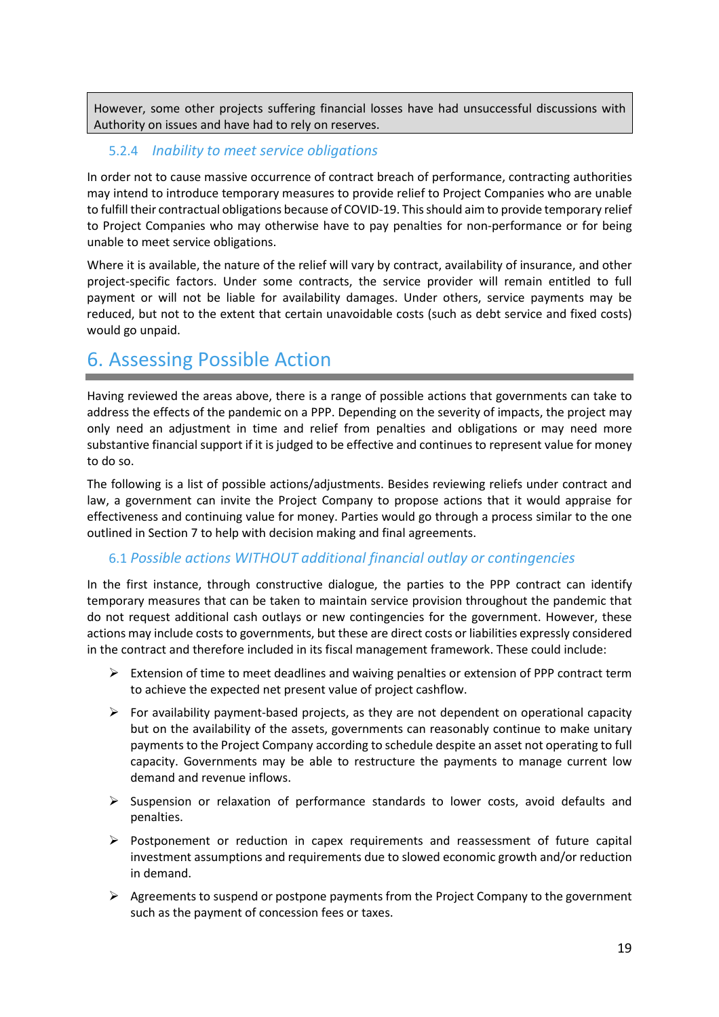However, some other projects suffering financial losses have had unsuccessful discussions with Authority on issues and have had to rely on reserves.

#### 5.2.4 *Inability to meet service obligations*

In order not to cause massive occurrence of contract breach of performance, contracting authorities may intend to introduce temporary measures to provide relief to Project Companies who are unable to fulfill their contractual obligations because of COVID-19. This should aim to provide temporary relief to Project Companies who may otherwise have to pay penalties for non-performance or for being unable to meet service obligations.

Where it is available, the nature of the relief will vary by contract, availability of insurance, and other project-specific factors. Under some contracts, the service provider will remain entitled to full payment or will not be liable for availability damages. Under others, service payments may be reduced, but not to the extent that certain unavoidable costs (such as debt service and fixed costs) would go unpaid.

### 6. Assessing Possible Action

Having reviewed the areas above, there is a range of possible actions that governments can take to address the effects of the pandemic on a PPP. Depending on the severity of impacts, the project may only need an adjustment in time and relief from penalties and obligations or may need more substantive financial support if it is judged to be effective and continues to represent value for money to do so.

The following is a list of possible actions/adjustments. Besides reviewing reliefs under contract and law, a government can invite the Project Company to propose actions that it would appraise for effectiveness and continuing value for money. Parties would go through a process similar to the one outlined in Section 7 to help with decision making and final agreements.

#### 6.1 *Possible actions WITHOUT additional financial outlay or contingencies*

In the first instance, through constructive dialogue, the parties to the PPP contract can identify temporary measures that can be taken to maintain service provision throughout the pandemic that do not request additional cash outlays or new contingencies for the government. However, these actions may include costs to governments, but these are direct costs or liabilities expressly considered in the contract and therefore included in its fiscal management framework. These could include:

- $\triangleright$  Extension of time to meet deadlines and waiving penalties or extension of PPP contract term to achieve the expected net present value of project cashflow.
- $\triangleright$  For availability payment-based projects, as they are not dependent on operational capacity but on the availability of the assets, governments can reasonably continue to make unitary payments to the Project Company according to schedule despite an asset not operating to full capacity. Governments may be able to restructure the payments to manage current low demand and revenue inflows.
- $\triangleright$  Suspension or relaxation of performance standards to lower costs, avoid defaults and penalties.
- $\triangleright$  Postponement or reduction in capex requirements and reassessment of future capital investment assumptions and requirements due to slowed economic growth and/or reduction in demand.
- $\triangleright$  Agreements to suspend or postpone payments from the Project Company to the government such as the payment of concession fees or taxes.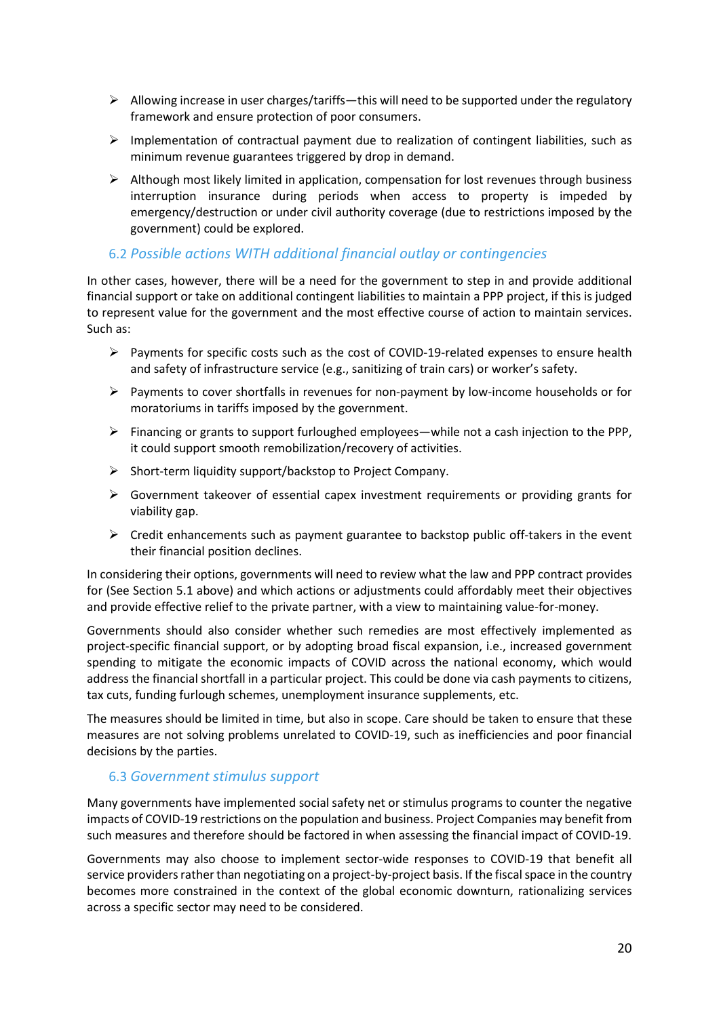- $\triangleright$  Allowing increase in user charges/tariffs—this will need to be supported under the regulatory framework and ensure protection of poor consumers.
- $\triangleright$  Implementation of contractual payment due to realization of contingent liabilities, such as minimum revenue guarantees triggered by drop in demand.
- $\triangleright$  Although most likely limited in application, compensation for lost revenues through business interruption insurance during periods when access to property is impeded by emergency/destruction or under civil authority coverage (due to restrictions imposed by the government) could be explored.

#### 6.2 *Possible actions WITH additional financial outlay or contingencies*

In other cases, however, there will be a need for the government to step in and provide additional financial support or take on additional contingent liabilities to maintain a PPP project, if this is judged to represent value for the government and the most effective course of action to maintain services. Such as:

- $\triangleright$  Payments for specific costs such as the cost of COVID-19-related expenses to ensure health and safety of infrastructure service (e.g., sanitizing of train cars) or worker's safety.
- $\triangleright$  Payments to cover shortfalls in revenues for non-payment by low-income households or for moratoriums in tariffs imposed by the government.
- $\triangleright$  Financing or grants to support furloughed employees—while not a cash injection to the PPP, it could support smooth remobilization/recovery of activities.
- $\triangleright$  Short-term liquidity support/backstop to Project Company.
- $\triangleright$  Government takeover of essential capex investment requirements or providing grants for viability gap.
- $\triangleright$  Credit enhancements such as payment guarantee to backstop public off-takers in the event their financial position declines.

In considering their options, governments will need to review what the law and PPP contract provides for (See Section 5.1 above) and which actions or adjustments could affordably meet their objectives and provide effective relief to the private partner, with a view to maintaining value-for-money.

Governments should also consider whether such remedies are most effectively implemented as project-specific financial support, or by adopting broad fiscal expansion, i.e., increased government spending to mitigate the economic impacts of COVID across the national economy, which would address the financial shortfall in a particular project. This could be done via cash payments to citizens, tax cuts, funding furlough schemes, unemployment insurance supplements, etc.

The measures should be limited in time, but also in scope. Care should be taken to ensure that these measures are not solving problems unrelated to COVID-19, such as inefficiencies and poor financial decisions by the parties.

#### 6.3 *Government stimulus support*

Many governments have implemented social safety net or stimulus programs to counter the negative impacts of COVID-19 restrictions on the population and business. Project Companies may benefit from such measures and therefore should be factored in when assessing the financial impact of COVID-19.

Governments may also choose to implement sector-wide responses to COVID-19 that benefit all service providers rather than negotiating on a project-by-project basis. If the fiscal space in the country becomes more constrained in the context of the global economic downturn, rationalizing services across a specific sector may need to be considered.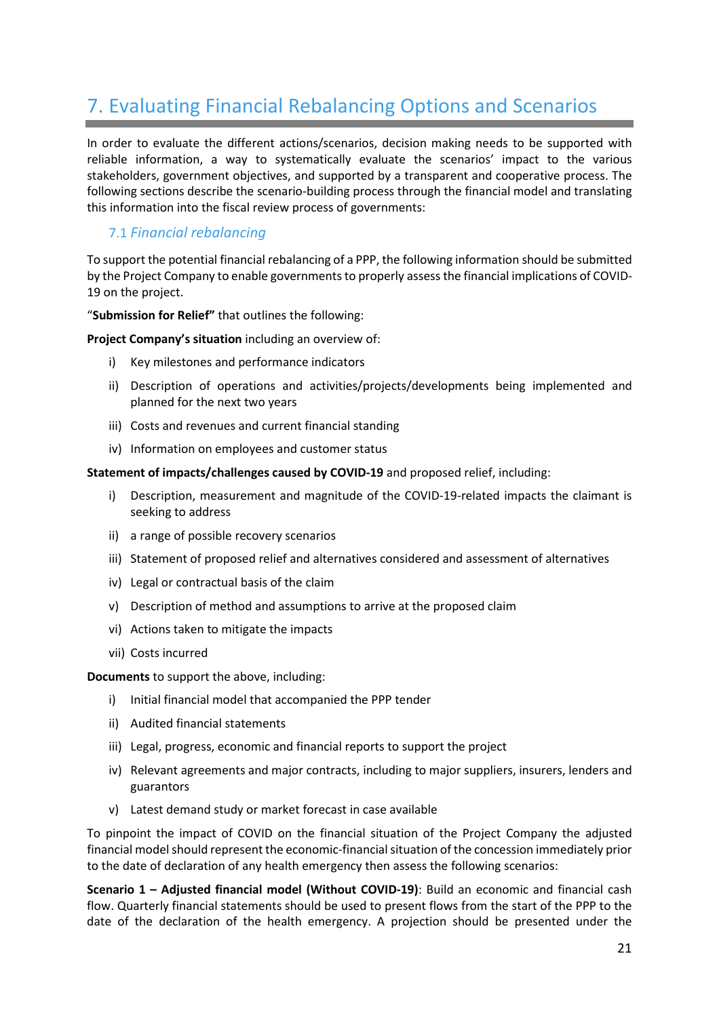# 7. Evaluating Financial Rebalancing Options and Scenarios

In order to evaluate the different actions/scenarios, decision making needs to be supported with reliable information, a way to systematically evaluate the scenarios' impact to the various stakeholders, government objectives, and supported by a transparent and cooperative process. The following sections describe the scenario-building process through the financial model and translating this information into the fiscal review process of governments:

#### 7.1 *Financial rebalancing*

To support the potential financial rebalancing of a PPP, the following information should be submitted by the Project Company to enable governments to properly assess the financial implications of COVID-19 on the project.

"**Submission for Relief"** that outlines the following:

**Project Company's situation** including an overview of:

- i) Key milestones and performance indicators
- ii) Description of operations and activities/projects/developments being implemented and planned for the next two years
- iii) Costs and revenues and current financial standing
- iv) Information on employees and customer status

**Statement of impacts/challenges caused by COVID-19** and proposed relief, including:

- i) Description, measurement and magnitude of the COVID-19-related impacts the claimant is seeking to address
- ii) a range of possible recovery scenarios
- iii) Statement of proposed relief and alternatives considered and assessment of alternatives
- iv) Legal or contractual basis of the claim
- v) Description of method and assumptions to arrive at the proposed claim
- vi) Actions taken to mitigate the impacts
- vii) Costs incurred

**Documents** to support the above, including:

- i) Initial financial model that accompanied the PPP tender
- ii) Audited financial statements
- iii) Legal, progress, economic and financial reports to support the project
- iv) Relevant agreements and major contracts, including to major suppliers, insurers, lenders and guarantors
- v) Latest demand study or market forecast in case available

To pinpoint the impact of COVID on the financial situation of the Project Company the adjusted financial model should represent the economic-financial situation of the concession immediately prior to the date of declaration of any health emergency then assess the following scenarios:

**Scenario 1 – Adjusted financial model (Without COVID-19)**: Build an economic and financial cash flow. Quarterly financial statements should be used to present flows from the start of the PPP to the date of the declaration of the health emergency. A projection should be presented under the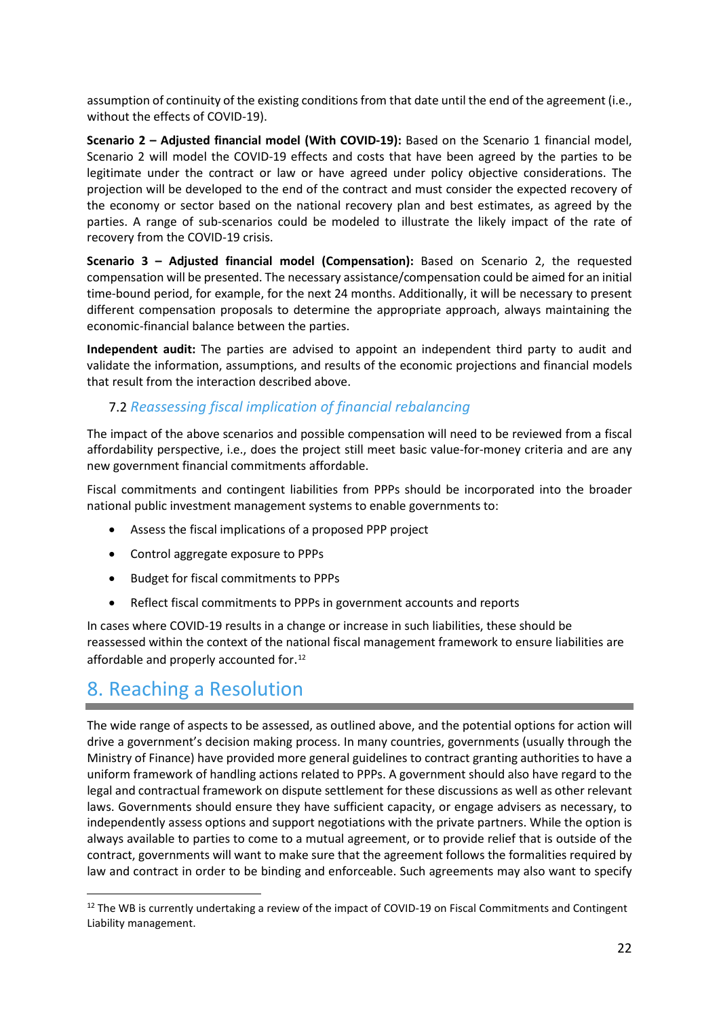assumption of continuity of the existing conditions from that date until the end of the agreement (i.e., without the effects of COVID-19).

**Scenario 2 – Adjusted financial model (With COVID-19):** Based on the Scenario 1 financial model, Scenario 2 will model the COVID-19 effects and costs that have been agreed by the parties to be legitimate under the contract or law or have agreed under policy objective considerations. The projection will be developed to the end of the contract and must consider the expected recovery of the economy or sector based on the national recovery plan and best estimates, as agreed by the parties. A range of sub-scenarios could be modeled to illustrate the likely impact of the rate of recovery from the COVID-19 crisis.

**Scenario 3 – Adjusted financial model (Compensation):** Based on Scenario 2, the requested compensation will be presented. The necessary assistance/compensation could be aimed for an initial time-bound period, for example, for the next 24 months. Additionally, it will be necessary to present different compensation proposals to determine the appropriate approach, always maintaining the economic-financial balance between the parties.

**Independent audit:** The parties are advised to appoint an independent third party to audit and validate the information, assumptions, and results of the economic projections and financial models that result from the interaction described above.

#### 7.2 *Reassessing fiscal implication of financial rebalancing*

The impact of the above scenarios and possible compensation will need to be reviewed from a fiscal affordability perspective, i.e., does the project still meet basic value-for-money criteria and are any new government financial commitments affordable.

Fiscal commitments and contingent liabilities from PPPs should be incorporated into the broader national public investment management systems to enable governments to:

- Assess the fiscal implications of a proposed PPP project
- Control aggregate exposure to PPPs
- Budget for fiscal commitments to PPPs
- Reflect fiscal commitments to PPPs in government accounts and reports

In cases where COVID-19 results in a change or increase in such liabilities, these should be reassessed within the context of the national fiscal management framework to ensure liabilities are affordable and properly accounted for. [12](#page-21-0)

### 8. Reaching a Resolution

The wide range of aspects to be assessed, as outlined above, and the potential options for action will drive a government's decision making process. In many countries, governments (usually through the Ministry of Finance) have provided more general guidelines to contract granting authorities to have a uniform framework of handling actions related to PPPs. A government should also have regard to the legal and contractual framework on dispute settlement for these discussions as well as other relevant laws. Governments should ensure they have sufficient capacity, or engage advisers as necessary, to independently assess options and support negotiations with the private partners. While the option is always available to parties to come to a mutual agreement, or to provide relief that is outside of the contract, governments will want to make sure that the agreement follows the formalities required by law and contract in order to be binding and enforceable. Such agreements may also want to specify

<span id="page-21-0"></span><sup>&</sup>lt;sup>12</sup> The WB is currently undertaking a review of the impact of COVID-19 on Fiscal Commitments and Contingent Liability management.